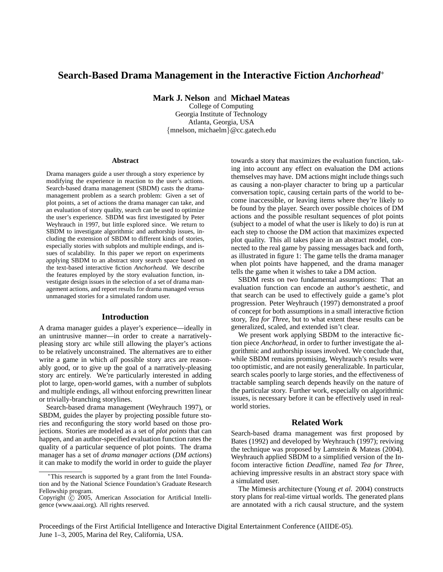# **Search-Based Drama Management in the Interactive Fiction** *Anchorhead*<sup>∗</sup>

**Mark J. Nelson** and **Michael Mateas**

College of Computing Georgia Institute of Technology Atlanta, Georgia, USA {mnelson, michaelm}@cc.gatech.edu

#### **Abstract**

Drama managers guide a user through a story experience by modifying the experience in reaction to the user's actions. Search-based drama management (SBDM) casts the dramamanagement problem as a search problem: Given a set of plot points, a set of actions the drama manager can take, and an evaluation of story quality, search can be used to optimize the user's experience. SBDM was first investigated by Peter Weyhrauch in 1997, but little explored since. We return to SBDM to investigate algorithmic and authorship issues, including the extension of SBDM to different kinds of stories, especially stories with subplots and multiple endings, and issues of scalability. In this paper we report on experiments applying SBDM to an abstract story search space based on the text-based interactive fiction *Anchorhead*. We describe the features employed by the story evaluation function, investigate design issues in the selection of a set of drama management actions, and report results for drama managed versus unmanaged stories for a simulated random user.

### **Introduction**

A drama manager guides a player's experience—ideally in an unintrusive manner—in order to create a narrativelypleasing story arc while still allowing the player's actions to be relatively unconstrained. The alternatives are to either write a game in which *all* possible story arcs are reasonably good, or to give up the goal of a narratively-pleasing story arc entirely. We're particularly interested in adding plot to large, open-world games, with a number of subplots and multiple endings, all without enforcing prewritten linear or trivially-branching storylines.

Search-based drama management (Weyhrauch 1997), or SBDM, guides the player by projecting possible future stories and reconfiguring the story world based on those projections. Stories are modeled as a set of *plot points* that can happen, and an author-specified evaluation function rates the quality of a particular sequence of plot points. The drama manager has a set of *drama manager actions* (*DM actions*) it can make to modify the world in order to guide the player

towards a story that maximizes the evaluation function, taking into account any effect on evaluation the DM actions themselves may have. DM actions might include things such as causing a non-player character to bring up a particular conversation topic, causing certain parts of the world to become inaccessible, or leaving items where they're likely to be found by the player. Search over possible choices of DM actions and the possible resultant sequences of plot points (subject to a model of what the user is likely to do) is run at each step to choose the DM action that maximizes expected plot quality. This all takes place in an abstract model, connected to the real game by passing messages back and forth, as illustrated in figure 1: The game tells the drama manager when plot points have happened, and the drama manager tells the game when it wishes to take a DM action.

SBDM rests on two fundamental assumptions: That an evaluation function can encode an author's aesthetic, and that search can be used to effectively guide a game's plot progression. Peter Weyhrauch (1997) demonstrated a proof of concept for both assumptions in a small interactive fiction story, *Tea for Three*, but to what extent these results can be generalized, scaled, and extended isn't clear.

We present work applying SBDM to the interactive fiction piece *Anchorhead*, in order to further investigate the algorithmic and authorship issues involved. We conclude that, while SBDM remains promising, Weyhrauch's results were too optimistic, and are not easily generalizable. In particular, search scales poorly to large stories, and the effectiveness of tractable sampling search depends heavily on the nature of the particular story. Further work, especially on algorithmic issues, is necessary before it can be effectively used in realworld stories.

# **Related Work**

Search-based drama management was first proposed by Bates (1992) and developed by Weyhrauch (1997); reviving the technique was proposed by Lamstein & Mateas (2004). Weyhrauch applied SBDM to a simplified version of the Infocom interactive fiction *Deadline*, named *Tea for Three*, achieving impressive results in an abstract story space with a simulated user.

The Mimesis architecture (Young *et al.* 2004) constructs story plans for real-time virtual worlds. The generated plans are annotated with a rich causal structure, and the system

Proceedings of the First Artificial Intelligence and Interactive Digital Entertainment Conference (AIIDE-05). June 1–3, 2005, Marina del Rey, California, USA.

This research is supported by a grant from the Intel Foundation and by the National Science Foundation's Graduate Research Fellowship program.

Copyright  $\odot$  2005, American Association for Artificial Intelligence (www.aaai.org). All rights reserved.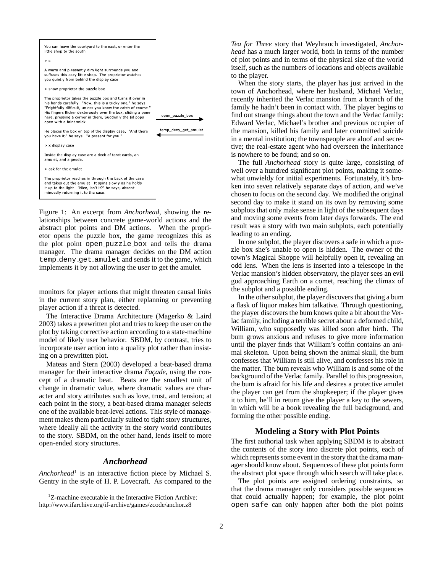

Figure 1: An excerpt from *Anchorhead*, showing the relationships between concrete game-world actions and the abstract plot points and DM actions. When the proprietor opens the puzzle box, the game recognizes this as the plot point open puzzle box and tells the drama manager. The drama manager decides on the DM action temp deny get amulet and sends it to the game, which implements it by not allowing the user to get the amulet.

monitors for player actions that might threaten causal links in the current story plan, either replanning or preventing player action if a threat is detected.

The Interactive Drama Architecture (Magerko & Laird 2003) takes a prewritten plot and tries to keep the user on the plot by taking corrective action according to a state-machine model of likely user behavior. SBDM, by contrast, tries to incorporate user action into a quality plot rather than insisting on a prewritten plot.

Mateas and Stern (2003) developed a beat-based drama manager for their interactive drama *Façade*, using the concept of a dramatic beat. Beats are the smallest unit of change in dramatic value, where dramatic values are character and story attributes such as love, trust, and tension; at each point in the story, a beat-based drama manager selects one of the available beat-level actions. This style of management makes them particularly suited to tight story structures, where ideally all the activity in the story world contributes to the story. SBDM, on the other hand, lends itself to more open-ended story structures.

### *Anchorhead*

*Anchorhead*<sup>1</sup> is an interactive fiction piece by Michael S. Gentry in the style of H. P. Lovecraft. As compared to the *Tea for Three* story that Weyhrauch investigated, *Anchorhead* has a much larger world, both in terms of the number of plot points and in terms of the physical size of the world itself, such as the numbers of locations and objects available to the player.

When the story starts, the player has just arrived in the town of Anchorhead, where her husband, Michael Verlac, recently inherited the Verlac mansion from a branch of the family he hadn't been in contact with. The player begins to find out strange things about the town and the Verlac family: Edward Verlac, Michael's brother and previous occupier of the mansion, killed his family and later committed suicide in a mental institution; the townspeople are aloof and secretive; the real-estate agent who had overseen the inheritance is nowhere to be found; and so on.

The full *Anchorhead* story is quite large, consisting of well over a hundred significant plot points, making it somewhat unwieldy for initial experiments. Fortunately, it's broken into seven relatively separate days of action, and we've chosen to focus on the second day. We modified the original second day to make it stand on its own by removing some subplots that only make sense in light of the subsequent days and moving some events from later days forwards. The end result was a story with two main subplots, each potentially leading to an ending.

In one subplot, the player discovers a safe in which a puzzle box she's unable to open is hidden. The owner of the town's Magical Shoppe will helpfully open it, revealing an odd lens. When the lens is inserted into a telescope in the Verlac mansion's hidden observatory, the player sees an evil god approaching Earth on a comet, reaching the climax of the subplot and a possible ending.

In the other subplot, the player discovers that giving a bum a flask of liquor makes him talkative. Through questioning, the player discovers the bum knows quite a bit about the Verlac family, including a terrible secret about a deformed child, William, who supposedly was killed soon after birth. The bum grows anxious and refuses to give more information until the player finds that William's coffin contains an animal skeleton. Upon being shown the animal skull, the bum confesses that William is still alive, and confesses his role in the matter. The bum reveals who William is and some of the background of the Verlac family. Parallel to this progression, the bum is afraid for his life and desires a protective amulet the player can get from the shopkeeper; if the player gives it to him, he'll in return give the player a key to the sewers, in which will be a book revealing the full background, and forming the other possible ending.

### **Modeling a Story with Plot Points**

The first authorial task when applying SBDM is to abstract the contents of the story into discrete plot points, each of which represents some event in the story that the drama manager should know about. Sequences of these plot points form the abstract plot space through which search will take place.

The plot points are assigned ordering constraints, so that the drama manager only considers possible sequences that could actually happen; for example, the plot point open safe can only happen after both the plot points

<sup>&</sup>lt;sup>1</sup>Z-machine executable in the Interactive Fiction Archive: http://www.ifarchive.org/if-archive/games/zcode/anchor.z8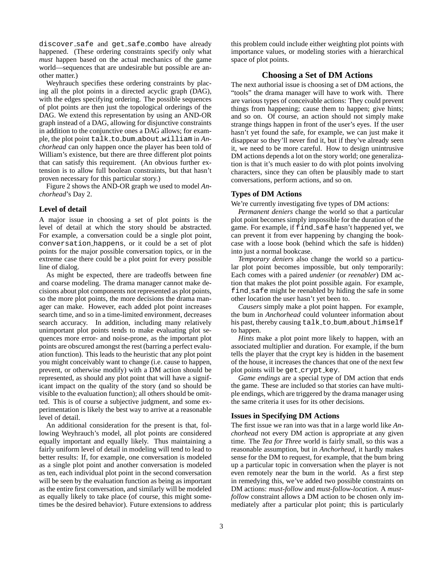discover safe and get safe combo have already happened. (These ordering constraints specify only what *must* happen based on the actual mechanics of the game world—sequences that are undesirable but possible are another matter.)

Weyhrauch specifies these ordering constraints by placing all the plot points in a directed acyclic graph (DAG), with the edges specifying ordering. The possible sequences of plot points are then just the topological orderings of the DAG. We extend this representation by using an AND-OR graph instead of a DAG, allowing for disjunctive constraints in addition to the conjunctive ones a DAG allows; for example, the plot point talk to bum about william in *Anchorhead* can only happen once the player has been told of William's existence, but there are three different plot points that can satisfy this requirement. (An obvious further extension is to allow full boolean constraints, but that hasn't proven necessary for this particular story.)

Figure 2 shows the AND-OR graph we used to model *Anchorhead*'s Day 2.

#### **Level of detail**

A major issue in choosing a set of plot points is the level of detail at which the story should be abstracted. For example, a conversation could be a single plot point, conversation happens, or it could be a set of plot points for the major possible conversation topics, or in the extreme case there could be a plot point for every possible line of dialog.

As might be expected, there are tradeoffs between fine and coarse modeling. The drama manager cannot make decisions about plot components not represented as plot points, so the more plot points, the more decisions the drama manager can make. However, each added plot point increases search time, and so in a time-limited environment, decreases search accuracy. In addition, including many relatively unimportant plot points tends to make evaluating plot sequences more error- and noise-prone, as the important plot points are obscured amongst the rest (barring a perfect evaluation function). This leads to the heuristic that any plot point you might conceivably want to change (i.e. cause to happen, prevent, or otherwise modify) with a DM action should be represented, as should any plot point that will have a significant impact on the quality of the story (and so should be visible to the evaluation function); all others should be omitted. This is of course a subjective judgment, and some experimentation is likely the best way to arrive at a reasonable level of detail.

An additional consideration for the present is that, following Weyhrauch's model, all plot points are considered equally important and equally likely. Thus maintaining a fairly uniform level of detail in modeling will tend to lead to better results: If, for example, one conversation is modeled as a single plot point and another conversation is modeled as ten, each individual plot point in the second conversation will be seen by the evaluation function as being as important as the entire first conversation, and similarly will be modeled as equally likely to take place (of course, this might sometimes be the desired behavior). Future extensions to address this problem could include either weighting plot points with importance values, or modeling stories with a hierarchical space of plot points.

### **Choosing a Set of DM Actions**

The next authorial issue is choosing a set of DM actions, the "tools" the drama manager will have to work with. There are various types of conceivable actions: They could prevent things from happening; cause them to happen; give hints; and so on. Of course, an action should not simply make strange things happen in front of the user's eyes. If the user hasn't yet found the safe, for example, we can just make it disappear so they'll never find it, but if they've already seen it, we need to be more careful. How to design unintrusive DM actions depends a lot on the story world; one generalization is that it's much easier to do with plot points involving characters, since they can often be plausibly made to start conversations, perform actions, and so on.

#### **Types of DM Actions**

We're currently investigating five types of DM actions:

*Permanent deniers* change the world so that a particular plot point becomes simply impossible for the duration of the game. For example, if find safe hasn't happened yet, we can prevent it from ever happening by changing the bookcase with a loose book (behind which the safe is hidden) into just a normal bookcase.

*Temporary deniers* also change the world so a particular plot point becomes impossible, but only temporarily: Each comes with a paired *undenier* (or *reenabler*) DM action that makes the plot point possible again. For example, find safe might be reenabled by hiding the safe in some other location the user hasn't yet been to.

*Causers* simply make a plot point happen. For example, the bum in *Anchorhead* could volunteer information about his past, thereby causing talk to bum about himself to happen.

*Hints* make a plot point more likely to happen, with an associated multiplier and duration. For example, if the bum tells the player that the crypt key is hidden in the basement of the house, it increases the chances that one of the next few plot points will be get crypt key.

*Game endings* are a special type of DM action that ends the game. These are included so that stories can have multiple endings, which are triggered by the drama manager using the same criteria it uses for its other decisions.

### **Issues in Specifying DM Actions**

The first issue we ran into was that in a large world like *Anchorhead* not every DM action is appropriate at any given time. The *Tea for Three* world is fairly small, so this was a reasonable assumption, but in *Anchorhead*, it hardly makes sense for the DM to request, for example, that the bum bring up a particular topic in conversation when the player is not even remotely near the bum in the world. As a first step in remedying this, we've added two possible constraints on DM actions: *must-follow* and *must-follow-location*. A *mustfollow* constraint allows a DM action to be chosen only immediately after a particular plot point; this is particularly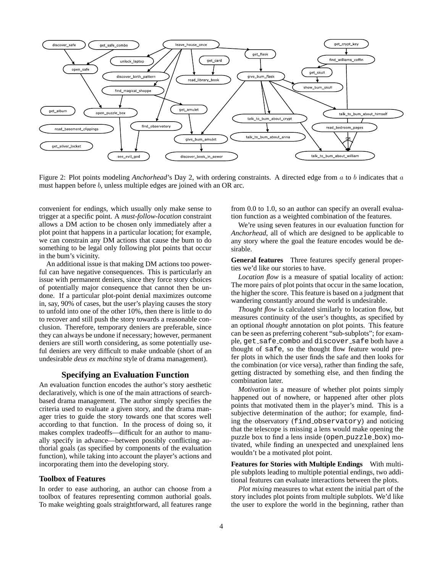

Figure 2: Plot points modeling *Anchorhead*'s Day 2, with ordering constraints. A directed edge from a to b indicates that a must happen before b, unless multiple edges are joined with an OR arc.

convenient for endings, which usually only make sense to trigger at a specific point. A *must-follow-location* constraint allows a DM action to be chosen only immediately after a plot point that happens in a particular location; for example, we can constrain any DM actions that cause the bum to do something to be legal only following plot points that occur in the bum's vicinity.

An additional issue is that making DM actions too powerful can have negative consequences. This is particularly an issue with permanent deniers, since they force story choices of potentially major consequence that cannot then be undone. If a particular plot-point denial maximizes outcome in, say, 90% of cases, but the user's playing causes the story to unfold into one of the other 10%, then there is little to do to recover and still push the story towards a reasonable conclusion. Therefore, temporary deniers are preferable, since they can always be undone if necessary; however, permanent deniers are still worth considering, as some potentially useful deniers are very difficult to make undoable (short of an undesirable *deus ex machina* style of drama management).

### **Specifying an Evaluation Function**

An evaluation function encodes the author's story aesthetic declaratively, which is one of the main attractions of searchbased drama management. The author simply specifies the criteria used to evaluate a given story, and the drama manager tries to guide the story towards one that scores well according to that function. In the process of doing so, it makes complex tradeoffs—difficult for an author to manually specify in advance—between possibly conflicting authorial goals (as specified by components of the evaluation function), while taking into account the player's actions and incorporating them into the developing story.

#### **Toolbox of Features**

In order to ease authoring, an author can choose from a toolbox of features representing common authorial goals. To make weighting goals straightforward, all features range from 0.0 to 1.0, so an author can specify an overall evaluation function as a weighted combination of the features.

We're using seven features in our evaluation function for *Anchorhead*, all of which are designed to be applicable to any story where the goal the feature encodes would be desirable.

**General features** Three features specify general properties we'd like our stories to have.

*Location flow* is a measure of spatial locality of action: The more pairs of plot points that occur in the same location, the higher the score. This feature is based on a judgment that wandering constantly around the world is undesirable.

*Thought flow* is calculated similarly to location flow, but measures continuity of the user's thoughts, as specified by an optional *thought* annotation on plot points. This feature can be seen as preferring coherent "sub-subplots"; for example, get safe combo and discover safe both have a thought of safe, so the thought flow feature would prefer plots in which the user finds the safe and then looks for the combination (or vice versa), rather than finding the safe, getting distracted by something else, and then finding the combination later.

*Motivation* is a measure of whether plot points simply happened out of nowhere, or happened after other plots points that motivated them in the player's mind. This is a subjective determination of the author; for example, finding the observatory (find observatory) and noticing that the telescope is missing a lens would make opening the puzzle box to find a lens inside (open puzzle box) motivated, while finding an unexpected and unexplained lens wouldn't be a motivated plot point.

**Features for Stories with Multiple Endings** With multiple subplots leading to multiple potential endings, two additional features can evaluate interactions between the plots.

*Plot mixing* measures to what extent the initial part of the story includes plot points from multiple subplots. We'd like the user to explore the world in the beginning, rather than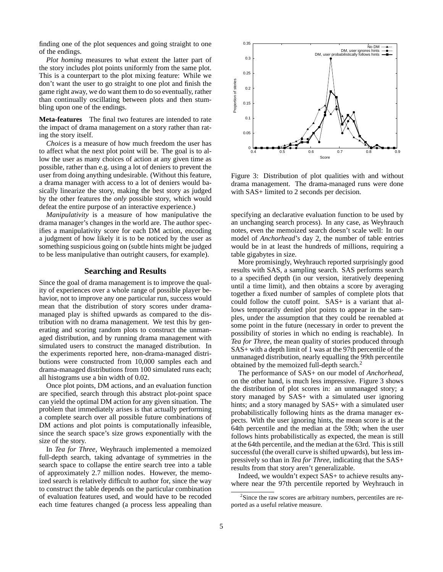finding one of the plot sequences and going straight to one of the endings.

*Plot homing* measures to what extent the latter part of the story includes plot points uniformly from the same plot. This is a counterpart to the plot mixing feature: While we don't want the user to go straight to one plot and finish the game right away, we do want them to do so eventually, rather than continually oscillating between plots and then stumbling upon one of the endings.

**Meta-features** The final two features are intended to rate the impact of drama management on a story rather than rating the story itself.

*Choices* is a measure of how much freedom the user has to affect what the next plot point will be. The goal is to allow the user as many choices of action at any given time as possible, rather than e.g. using a lot of deniers to prevent the user from doing anything undesirable. (Without this feature, a drama manager with access to a lot of deniers would basically linearize the story, making the best story as judged by the other features the *only* possible story, which would defeat the entire purpose of an interactive experience.)

*Manipulativity* is a measure of how manipulative the drama manager's changes in the world are. The author specifies a manipulativity score for each DM action, encoding a judgment of how likely it is to be noticed by the user as something suspicious going on (subtle hints might be judged to be less manipulative than outright causers, for example).

### **Searching and Results**

Since the goal of drama management is to improve the quality of experiences over a whole range of possible player behavior, not to improve any one particular run, success would mean that the distribution of story scores under dramamanaged play is shifted upwards as compared to the distribution with no drama management. We test this by generating and scoring random plots to construct the unmanaged distribution, and by running drama management with simulated users to construct the managed distribution. In the experiments reported here, non-drama-managed distributions were constructed from 10,000 samples each and drama-managed distributions from 100 simulated runs each; all histograms use a bin width of 0.02.

Once plot points, DM actions, and an evaluation function are specified, search through this abstract plot-point space can yield the optimal DM action for any given situation. The problem that immediately arises is that actually performing a complete search over all possible future combinations of DM actions and plot points is computationally infeasible, since the search space's size grows exponentially with the size of the story.

In *Tea for Three*, Weyhrauch implemented a memoized full-depth search, taking advantage of symmetries in the search space to collapse the entire search tree into a table of approximately 2.7 million nodes. However, the memoized search is relatively difficult to author for, since the way to construct the table depends on the particular combination of evaluation features used, and would have to be recoded each time features changed (a process less appealing than



Figure 3: Distribution of plot qualities with and without drama management. The drama-managed runs were done with SAS+ limited to 2 seconds per decision.

specifying an declarative evaluation function to be used by an unchanging search process). In any case, as Weyhrauch notes, even the memoized search doesn't scale well: In our model of *Anchorhead*'s day 2, the number of table entries would be in at least the hundreds of millions, requiring a table gigabytes in size.

More promisingly, Weyhrauch reported surprisingly good results with SAS, a sampling search. SAS performs search to a specified depth (in our version, iteratively deepening until a time limit), and then obtains a score by averaging together a fixed number of samples of complete plots that could follow the cutoff point. SAS+ is a variant that allows temporarily denied plot points to appear in the samples, under the assumption that they could be reenabled at some point in the future (necessary in order to prevent the possibility of stories in which no ending is reachable). In *Tea for Three*, the mean quality of stories produced through SAS+ with a depth limit of 1 was at the 97th percentile of the unmanaged distribution, nearly equalling the 99th percentile obtained by the memoized full-depth search.<sup>2</sup>

The performance of SAS+ on our model of *Anchorhead*, on the other hand, is much less impressive. Figure 3 shows the distribution of plot scores in: an unmanaged story; a story managed by SAS+ with a simulated user ignoring hints; and a story managed by SAS+ with a simulated user probabilistically following hints as the drama manager expects. With the user ignoring hints, the mean score is at the 64th percentile and the median at the 59th; when the user follows hints probabilistically as expected, the mean is still at the 64th percentile, and the median at the 63rd. This is still successful (the overall curve is shifted upwards), but less impressively so than in *Tea for Three*, indicating that the SAS+ results from that story aren't generalizable.

Indeed, we wouldn't expect SAS+ to achieve results anywhere near the 97th percentile reported by Weyhrauch in

<sup>&</sup>lt;sup>2</sup>Since the raw scores are arbitrary numbers, percentiles are reported as a useful relative measure.